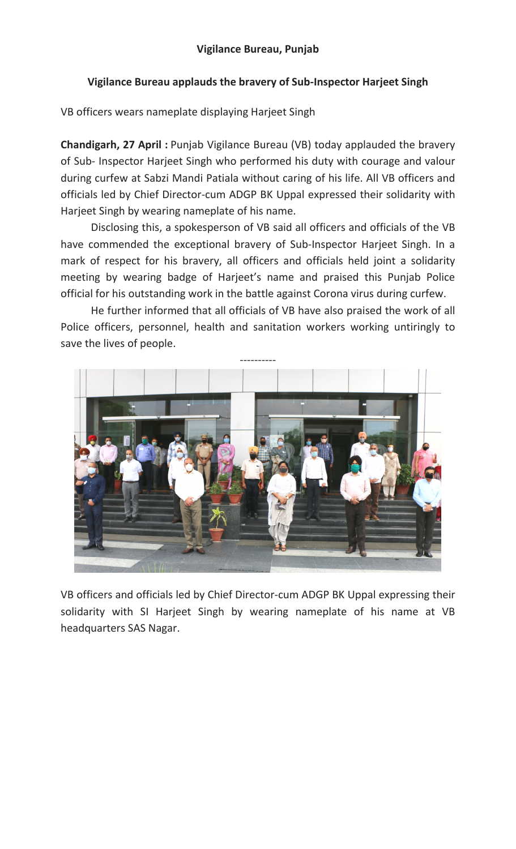## Vigilance Bureau applauds the bravery of Sub-Inspector Harjeet Singh

VB officers wears nameplate displaying Harjeet Singh

Chandigarh, 27 April : Punjab Vigilance Bureau (VB) today applauded the bravery of Sub- Inspector Harjeet Singh who performed his duty with courage and valour during curfew at Sabzi Mandi Patiala without caring of his life. All VB officers and officials led by Chief Director-cum ADGP BK Uppal expressed their solidarity with Harjeet Singh by wearing nameplate of his name.

Disclosing this, a spokesperson of VB said all officers and officials of the VB have commended the exceptional bravery of Sub-Inspector Harjeet Singh. In a mark of respect for his bravery, all officers and officials held joint a solidarity meeting by wearing badge of Harjeet's name and praised this Punjab Police official for his outstanding work in the battle against Corona virus during curfew.

He further informed that all officials of VB have also praised the work of all Police officers, personnel, health and sanitation workers working untiringly to save the lives of people.



VB officers and officials led by Chief Director-cum ADGP BK Uppal expressing their solidarity with SI Harjeet Singh by wearing nameplate of his name at VB headquarters SAS Nagar.